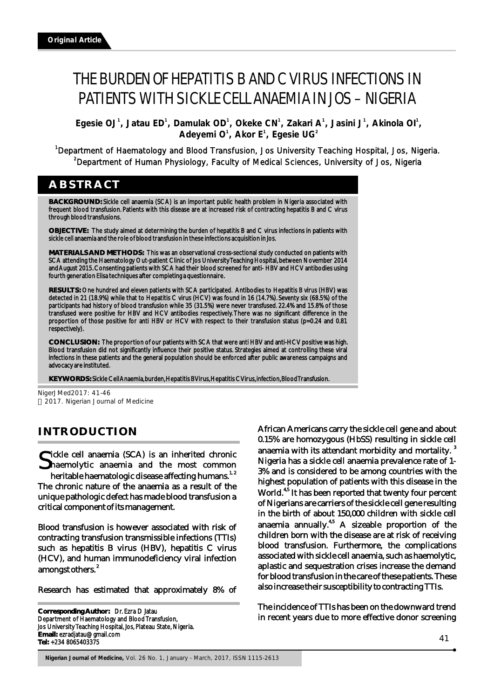# THE BURDEN OF HEPATITIS B AND C VIRUS INFECTIONS IN PATIENTS WITH SICKLE CELL ANAEMIA IN JOS – NIGERIA

 **Egesie OJ**<sup>1</sup>, Jatau ED<sup>1</sup>, Damulak OD<sup>1</sup>, Okeke CN<sup>1</sup>, Zakari A<sup>1</sup>, Jasini J<sup>1</sup>, Akinola OI<sup>1</sup>,  $O<sup>1</sup>$ , Akor E<sup>1</sup>, Egesie UG<sup>2</sup>

# <sup>1</sup>Department of Haematology and Blood Transfusion, Jos University Teaching Hospital, Jos, Nigeria. <sup>2</sup>Department of Human Physiology, Faculty of Medical Sciences, University of Jos, Nigeria

# **ABSTRACT**

**BACKGROUND:** Sickle cell anaemia (SCA) is an important public health problem in Nigeria associated with frequent blood transfusion. Patients with this disease are at increased risk of contracting hepatitis B and C virus through blood transfusions.

**OBJECTIVE:** The study aimed at determining the burden of hepatitis B and C virus infections in patients with sickle cell anaemia and the role of blood transfusion in these infections acquisition in Jos.

**MATERIALS AND METHODS:** This was an observational cross-sectional study conducted on patients with SCA attending the Haematology Out-patient Clinic of Jos University Teaching Hospital, between November 2014 and August 2015. Consenting patients with SCA had their blood screened for anti- HBV and HCV antibodies using fourth generation Elisa techniques after completing a questionnaire.

**RESULTS:** One hundred and eleven patients with SCA participated. Antibodies to Hepatitis B virus (HBV) was detected in 21 (18.9%) while that to Hepatitis C virus (HCV) was found in 16 (14.7%). Seventy six (68.5%) of the participants had history of blood transfusion while 35 (31.5%) were never transfused. 22.4% and 15.8% of those transfused were positive for HBV and HCV antibodies respectively. There was no significant difference in the proportion of those positive for anti HBV or HCV with respect to their transfusion status (p=0.24 and 0.81 respectively).

**CONCLUSION:** The proportion of our patients with SCA that were anti HBV and anti-HCV positive was high. Blood transfusion did not significantly influence their positive status. Strategies aimed at controlling these viral infections in these patients and the general population should be enforced after public awareness campaigns and advocacy are instituted.

**KEYWORDS:** Sickle Cell Anaemia, burden, Hepatitis B Virus, Hepatitis C Virus, infection, Blood Transfusion.

NigerJMed2017: 41-46 2017. Nigerian Journal of Medicine

# **INTRODUCTION**

ickle cell anaemia (SCA) is an inherited chronic Shaemolytic anaemia and the most common heritable haematologic disease affecting humans.<sup>1, 2</sup> The chronic nature of the anaemia as a result of the

unique pathologic defect has made blood transfusion a critical component of its management.

Blood transfusion is however associated with risk of contracting transfusion transmissible infections (TTIs) such as hepatitis B virus (HBV), hepatitis C virus (HCV), and human immunodeficiency viral infection amongst others.<sup>2</sup>

Research has estimated that approximately 8% of

**Corresponding Author:** Dr. Ezra D Jatau Department of Haematology and Blood Transfusion, Jos University Teaching Hospital, Jos, Plateau State, Nigeria. **Email:** ezradjatau@gmail.com **Tel:** +234 8065403375

African Americans carry the sickle cell gene and about 0.15% are homozygous (HbSS) resulting in sickle cell anaemia with its attendant morbidity and mortality.<sup>3</sup> Nigeria has a sickle cell anaemia prevalence rate of 1- 3% and is considered to be among countries with the highest population of patients with this disease in the World.<sup>4,5</sup> It has been reported that twenty four percent of Nigerians are carriers of the sickle cell gene resulting in the birth of about 150,000 children with sickle cell anaemia annually. $45$  A sizeable proportion of the children born with the disease are at risk of receiving blood transfusion. Furthermore, the complications associated with sickle cell anaemia, such as haemolytic, aplastic and sequestration crises increase the demand for blood transfusion in the care of these patients. These also increase their susceptibility to contracting TTIs.

The incidence of TTIs has been on the downward trend in recent years due to more effective donor screening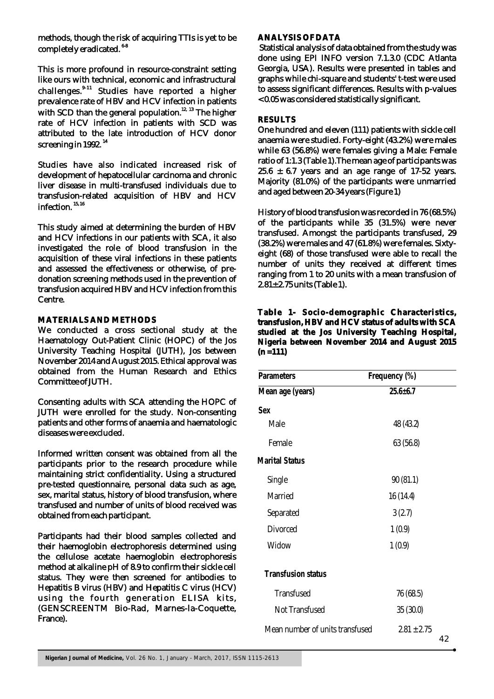methods, though the risk of acquiring TTIs is yet to be completely eradicated.<sup>6-8</sup>

This is more profound in resource-constraint setting like ours with technical, economic and infrastructural challenges.<sup>9-11</sup> Studies have reported a higher prevalence rate of HBV and HCV infection in patients with SCD than the general population.<sup>12, 13</sup> The higher rate of HCV infection in patients with SCD was attributed to the late introduction of HCV donor screening in 1992.<sup>14</sup>

Studies have also indicated increased risk of development of hepatocellular carcinoma and chronic liver disease in multi-transfused individuals due to transfusion-related acquisition of HBV and HCV infection.  $15, 16$ 

This study aimed at determining the burden of HBV and HCV infections in our patients with SCA, it also investigated the role of blood transfusion in the acquisition of these viral infections in these patients and assessed the effectiveness or otherwise, of predonation screening methods used in the prevention of transfusion acquired HBV and HCV infection from this Centre.

# **MATERIALS AND METHODS**

We conducted a cross sectional study at the Haematology Out-Patient Clinic (HOPC) of the Jos University Teaching Hospital (JUTH), Jos between November 2014 and August 2015. Ethical approval was obtained from the Human Research and Ethics Committee of JUTH.

Consenting adults with SCA attending the HOPC of JUTH were enrolled for the study. Non-consenting patients and other forms of anaemia and haematologic diseases were excluded.

Informed written consent was obtained from all the participants prior to the research procedure while maintaining strict confidentiality. Using a structured pre-tested questionnaire, personal data such as age, sex, marital status, history of blood transfusion, where transfused and number of units of blood received was obtained from each participant.

Participants had their blood samples collected and their haemoglobin electrophoresis determined using the cellulose acetate haemoglobin electrophoresis method at alkaline pH of 8.9 to confirm their sickle cell status. They were then screened for antibodies to Hepatitis B virus (HBV) and Hepatitis C virus (HCV) using the fourth generation ELISA kits, (GENSCREENTM Bio-Rad, Marnes-la-Coquette, France).

#### **ANALYSIS OF DATA**

 Statistical analysis of data obtained from the study was done using EPI INFO version 7.1.3.0 (CDC Atlanta Georgia, USA). Results were presented in tables and graphs while chi-square and students' t-test were used to assess significant differences. Results with p-values < 0.05 was considered statistically significant.

## **RESULTS**

One hundred and eleven (111) patients with sickle cell anaemia were studied. Forty-eight (43.2%) were males while 63 (56.8%) were females giving a Male: Female ratio of 1:1.3 (Table 1).The mean age of participants was  $25.6 \pm 6.7$  years and an age range of 17-52 years. Majority (81.0%) of the participants were unmarried and aged between 20-34 years (Figure 1)

History of blood transfusion was recorded in 76 (68.5%) of the participants while 35 (31.5%) were never transfused. Amongst the participants transfused, 29 (38.2%) were males and 47 (61.8%) were females. Sixtyeight (68) of those transfused were able to recall the number of units they received at different times ranging from 1 to 20 units with a mean transfusion of 2.81± 2.75 units (Table 1).

## **Table 1- Socio-demographic Characteristics, transfusion, HBV and HCV status of adults with SCA studied at the Jos University Teaching Hospital, Nigeria between November 2014 and August 2015 (n =111)**

| <b>Parameters</b>               | Frequency (%)         |  |  |
|---------------------------------|-----------------------|--|--|
| Mean age (years)                | $25.6 + 6.7$          |  |  |
| Sex                             |                       |  |  |
| Male                            | 48 (43.2)             |  |  |
| Female                          | 63 (56.8)             |  |  |
| <b>Marital Status</b>           |                       |  |  |
| Single                          | 90(81.1)              |  |  |
| Married                         | 16 (14.4)             |  |  |
| Separated                       | 3(2.7)                |  |  |
| <b>Divorced</b>                 | 1(0.9)                |  |  |
| Widow                           | 1(0.9)                |  |  |
| <b>Transfusion status</b>       |                       |  |  |
| <b>Transfused</b>               | 76 (68.5)             |  |  |
| Not Transfused                  | 35 (30.0)             |  |  |
| Mean number of units transfused | $2.81 \pm 2.75$<br>イつ |  |  |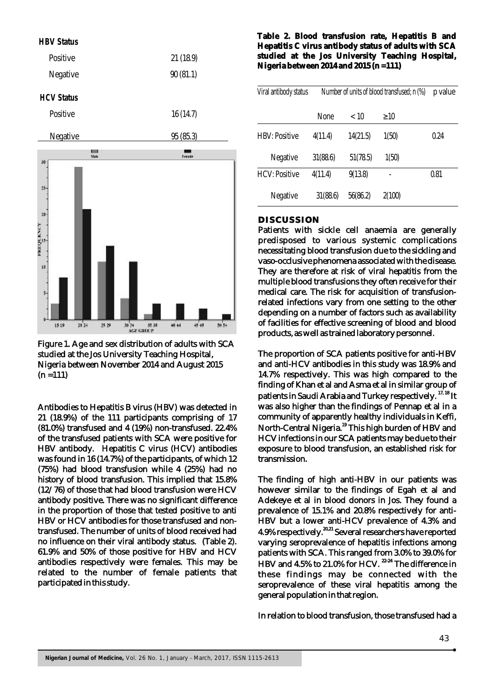

Figure 1. Age and sex distribution of adults with SCA studied at the Jos University Teaching Hospital, Nigeria between November 2014 and August 2015  $(n = 111)$ 

Antibodies to Hepatitis B virus (HBV) was detected in 21 (18.9%) of the 111 participants comprising of 17 (81.0%) transfused and 4 (19%) non-transfused. 22.4% of the transfused patients with SCA were positive for HBV antibody. Hepatitis C virus (HCV) antibodies was found in 16 (14.7%) of the participants, of which 12 (75%) had blood transfusion while 4 (25%) had no history of blood transfusion. This implied that 15.8% (12/76) of those that had blood transfusion were HCV antibody positive. There was no significant difference in the proportion of those that tested positive to anti HBV or HCV antibodies for those transfused and nontransfused. The number of units of blood received had no influence on their viral antibody status. (Table 2). 61.9% and 50% of those positive for HBV and HCV antibodies respectively were females. This may be related to the number of female patients that participated in this study.

**Table 2. Blood transfusion rate, Hepatitis B and Hepatitis C virus antibody status of adults with SCA studied at the Jos University Teaching Hospital, Nigeria between 2014 and 2015 (n =111)**

| Viral antibody status | Number of units of blood transfused; n (%) |          |        | p value |
|-----------------------|--------------------------------------------|----------|--------|---------|
|                       | None                                       | < 10     | 10     |         |
| <b>HBV: Positive</b>  | 4(11.4)                                    | 14(21.5) | 1(50)  | 0.24    |
| Negative              | 31(88.6)                                   | 51(78.5) | 1(50)  |         |
| <b>HCV: Positive</b>  | 4(11.4)                                    | 9(13.8)  |        | 0.81    |
| Negative              | 31(88.6)                                   | 56(86.2) | 2(100) |         |

### **DISCUSSION**

Patients with sickle cell anaemia are generally predisposed to various systemic complications necessitating blood transfusion due to the sickling and vaso-occlusive phenomena associated with the disease. They are therefore at risk of viral hepatitis from the multiple blood transfusions they often receive for their medical care. The risk for acquisition of transfusionrelated infections vary from one setting to the other depending on a number of factors such as availability of facilities for effective screening of blood and blood products, as well as trained laboratory personnel.

The proportion of SCA patients positive for anti-HBV and anti-HCV antibodies in this study was 18.9% and 14.7% respectively. This was high compared to the finding of Khan et al and Asma et al in similar group of patients in Saudi Arabia and Turkey respectively. <sup>17, 18</sup> It was also higher than the findings of Pennap et al in a community of apparently healthy individuals in Keffi, North-Central Nigeria.<sup>19</sup> This high burden of HBV and HCV infections in our SCA patients may be due to their exposure to blood transfusion, an established risk for transmission.

The finding of high anti-HBV in our patients was however similar to the findings of Egah et al and Adekeye et al in blood donors in Jos. They found a prevalence of 15.1% and 20.8% respectively for anti-HBV but a lower anti-HCV prevalence of 4.3% and 4.9% respectively.<sup>20,21</sup> Several researchers have reported varying seroprevalence of hepatitis infections among patients with SCA. This ranged from 3.0% to 39.0% for  $H$ BV and 4.5% to 21.0% for  $H$ CV.  $22-24$  The difference in these findings may be connected with the seroprevalence of these viral hepatitis among the general population in that region.

In relation to blood transfusion, those transfused had a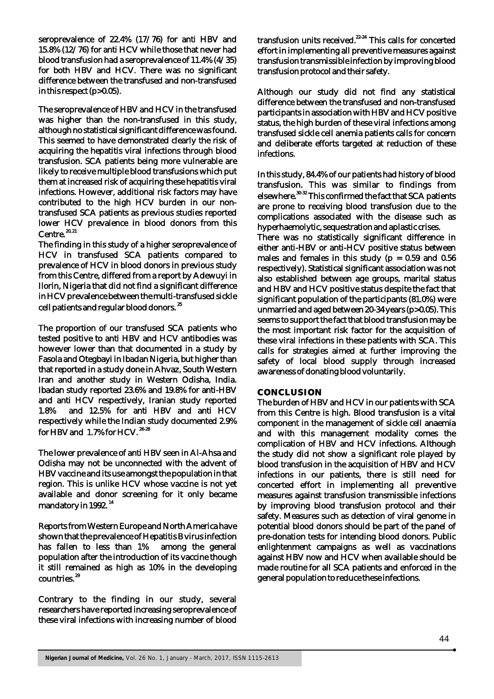seroprevalence of 22.4% (17/76) for anti HBV and 15.8% (12/76) for anti HCV while those that never had blood transfusion had a seroprevalence of 11.4% (4/35) for both HBV and HCV. There was no significant difference between the transfused and non-transfused in this respect (p>0.05).

The seroprevalence of HBV and HCV in the transfused was higher than the non-transfused in this study, although no statistical significant difference was found. This seemed to have demonstrated clearly the risk of acquiring the hepatitis viral infections through blood transfusion. SCA patients being more vulnerable are likely to receive multiple blood transfusions which put them at increased risk of acquiring these hepatitis viral infections. However, additional risk factors may have contributed to the high HCV burden in our nontransfused SCA patients as previous studies reported lower HCV prevalence in blood donors from this  $Centre.$ <sup>20, 21</sup>

The finding in this study of a higher seroprevalence of HCV in transfused SCA patients compared to prevalence of HCV in blood donors in previous study from this Centre, differed from a report by Adewuyi in Ilorin, Nigeria that did not find a significant difference in HCV prevalence between the multi-transfused sickle cell patients and regular blood donors.<sup>25</sup>

The proportion of our transfused SCA patients who tested positive to anti HBV and HCV antibodies was however lower than that documented in a study by Fasola and Otegbayi in Ibadan Nigeria, but higher than that reported in a study done in Ahvaz, South Western Iran and another study in Western Odisha, India. Ibadan study reported 23.6% and 19.8% for anti-HBV and anti HCV respectively, Iranian study reported 1.8% and 12.5% for anti HBV and anti HCV respectively while the Indian study documented 2.9% for HBV and 1.7% for HCV.<sup>26-28</sup>

The lower prevalence of anti HBV seen in Al-Ahsa and Odisha may not be unconnected with the advent of HBV vaccine and its use amongst the population in that region. This is unlike HCV whose vaccine is not yet available and donor screening for it only became mandatory in 1992.<sup>14</sup>

Reports from Western Europe and North America have shown that the prevalence of Hepatitis B virus infection has fallen to less than 1% among the general population after the introduction of its vaccine though it still remained as high as 10% in the developing <sup>29</sup> countries.

Contrary to the finding in our study, several researchers have reported increasing seroprevalence of these viral infections with increasing number of blood

transfusion units received.<sup>22-24</sup> This calls for concerted effort in implementing all preventive measures against transfusion transmissible infection by improving blood transfusion protocol and their safety.

Although our study did not find any statistical difference between the transfused and non-transfused participants in association with HBV and HCV positive status, the high burden of these viral infections among transfused sickle cell anemia patients calls for concern and deliberate efforts targeted at reduction of these infections.

In this study, 84.4% of our patients had history of blood transfusion. This was similar to findings from elsewhere.  $30-32$  This confirmed the fact that SCA patients are prone to receiving blood transfusion due to the complications associated with the disease such as hyperhaemolytic, sequestration and aplastic crises.

There was no statistically significant difference in either anti-HBV or anti-HCV positive status between males and females in this study ( $p = 0.59$  and  $0.56$ respectively). Statistical significant association was not also established between age groups, marital status and HBV and HCV positive status despite the fact that significant population of the participants (81.0%) were unmarried and aged between 20-34 years (p>0.05). This seems to support the fact that blood transfusion may be the most important risk factor for the acquisition of these viral infections in these patients with SCA. This calls for strategies aimed at further improving the safety of local blood supply through increased awareness of donating blood voluntarily.

# **CONCLUSION**

The burden of HBV and HCV in our patients with SCA from this Centre is high. Blood transfusion is a vital component in the management of sickle cell anaemia and with this management modality comes the complication of HBV and HCV infections. Although the study did not show a significant role played by blood transfusion in the acquisition of HBV and HCV infections in our patients, there is still need for concerted effort in implementing all preventive measures against transfusion transmissible infections by improving blood transfusion protocol and their safety. Measures such as detection of viral genome in potential blood donors should be part of the panel of pre-donation tests for intending blood donors. Public enlightenment campaigns as well as vaccinations against HBV now and HCV when available should be made routine for all SCA patients and enforced in the general population to reduce these infections.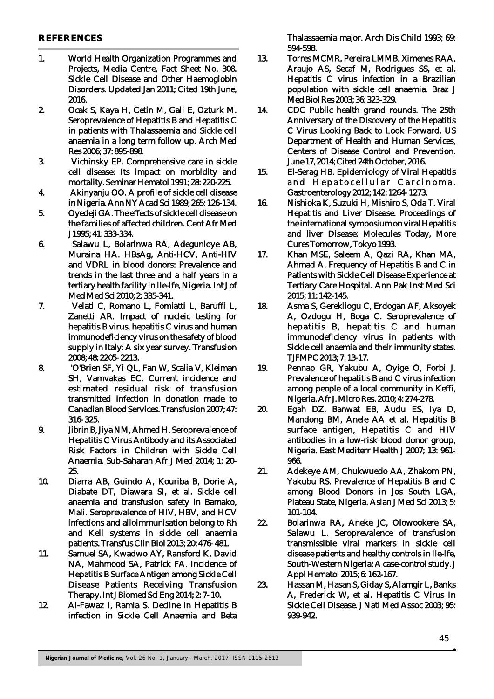- 1. World Health Organization Programmes and Projects, Media Centre, Fact Sheet No. 308. Sickle Cell Disease and Other Haemoglobin Disorders. Updated Jan 2011; Cited 19th June, 2016.
- 2. Ocak S, Kaya H, Cetin M, Gali E, Ozturk M. Seroprevalence of Hepatitis B and Hepatitis C in patients with Thalassaemia and Sickle cell anaemia in a long term follow up. Arch Med Res 2006; 37: 895-898.
- 3. Vichinsky EP. Comprehensive care in sickle cell disease: Its impact on morbidity and mortality. Seminar Hematol 1991; 28: 220-225.
- 4. Akinyanju OO. A profile of sickle cell disease in Nigeria. Ann NY Acad Sci 1989; 265: 126-134.
- 5. Oyedeji GA. The effects of sickle cell disease on the families of affected children. Cent Afr Med J 1995; 41: 333-334.
- 6. Salawu L, Bolarinwa RA, Adegunloye AB, Muraina HA. HBsAg, Anti-HCV, Anti-HIV and VDRL in blood donors: Prevalence and trends in the last three and a half years in a tertiary health facility in Ile-Ife, Nigeria. Int J of Med Med Sci 2010; 2: 335-341.
- 7. Velati C, Romano L, Fomiatti L, Baruffi L, Zanetti AR. Impact of nucleic testing for hepatitis B virus, hepatitis C virus and human immunodeficiency virus on the safety of blood supply in Italy: A six year survey. Transfusion 2008; 48: 2205- 2213.
- 8. 'O'Brien SF, Yi QL, Fan W, Scalia V, Kleiman SH, Vamvakas EC. Current incidence and estimated residual risk of transfusion transmitted infection in donation made to Canadian Blood Services. Transfusion 2007; 47: 316- 325.
- 9. Jibrin B, Jiya NM, Ahmed H. Seroprevalence of Hepatitis C Virus Antibody and its Associated Risk Factors in Children with Sickle Cell Anaemia. Sub-Saharan Afr J Med 2014; 1: 20- 25.
- 10. Diarra AB, Guindo A, Kouriba B, Dorie A, Diabate DT, Diawara SI, et al. Sickle cell anaemia and transfusion safety in Bamako, Mali. Seroprevalence of HIV, HBV, and HCV infections and alloimmunisation belong to Rh and Kell systems in sickle cell anaemia patients. Transfus Clin Biol 2013; 20: 476- 481.
- 11. Samuel SA, Kwadwo AY, Ransford K, David NA, Mahmood SA, Patrick FA. Incidence of Hepatitis B Surface Antigen among Sickle Cell Disease Patients Receiving Transfusion Therapy. Int J Biomed Sci Eng 2014; 2: 7- 10.
- 12. Al-Fawaz I, Ramia S. Decline in Hepatitis B infection in Sickle Cell Anaemia and Beta

Thalassaemia major. Arch Dis Child 1993; 69: 594-598.

- 13. Torres MCMR, Pereira LMMB, Ximenes RAA, Araujo AS, Secaf M, Rodrigues SS, et al. Hepatitis C virus infection in a Brazilian population with sickle cell anaemia. Braz J Med Biol Res 2003; 36: 323-329.
- 14. CDC Public health grand rounds. The 25th Anniversary of the Discovery of the Hepatitis C Virus Looking Back to Look Forward. US Department of Health and Human Services, Centers of Disease Control and Prevention. June 17, 2014; Cited 24th October, 2016.
- 15. El-Serag HB. Epidemiology of Viral Hepatitis and Hepatocellular Carcinoma. Gastroenterology 2012; 142: 1264- 1273.
- 16. Nishioka K, Suzuki H, Mishiro S, Oda T. Viral Hepatitis and Liver Disease. Proceedings of the international symposium on viral Hepatitis and liver Disease: Molecules Today, More Cures Tomorrow, Tokyo 1993.
- 17. Khan MSE, Saleem A, Qazi RA, Khan MA, Ahmad A. Frequency of Hepatitis B and C in Patients with Sickle Cell Disease Experience at Tertiary Care Hospital. Ann Pak Inst Med Sci 2015; 11: 142-145.
- 18. Asma S, Gerekliogu C, Erdogan AF, Aksoyek A, Ozdogu H, Boga C. Seroprevalence of hepatitis B, hepatitis C and human immunodeficiency virus in patients with Sickle cell anaemia and their immunity states. TJFMPC 2013; 7: 13-17.
- 19. Pennap GR, Yakubu A, Oyige O, Forbi J. Prevalence of hepatitis B and C virus infection among people of a local community in Keffi, Nigeria. Afr J. Micro Res. 2010; 4: 274-278.
- 20. Egah DZ, Banwat EB, Audu ES, Iya D, Mandong BM, Anele AA et al. Hepatitis B surface antigen, Hepatitis C and HIV antibodies in a low-risk blood donor group, Nigeria. East Mediterr Health J 2007; 13: 961- 966.
- 21. Adekeye AM, Chukwuedo AA, Zhakom PN, Yakubu RS. Prevalence of Hepatitis B and C among Blood Donors in Jos South LGA, Plateau State, Nigeria. Asian J Med Sci 2013; 5: 101-104.
- 22. Bolarinwa RA, Aneke JC, Olowookere SA, Salawu L. Seroprevalence of transfusion transmissible viral markers in sickle cell disease patients and healthy controls in Ile-Ife, South-Western Nigeria: A case-control study. J Appl Hematol 2015; 6: 162-167.
- 23. Hassan M, Hasan S, Giday S, Alamgir L, Banks A, Frederick W, et al. Hepatitis C Virus In Sickle Cell Disease. J Natl Med Assoc 2003; 95: 939-942.